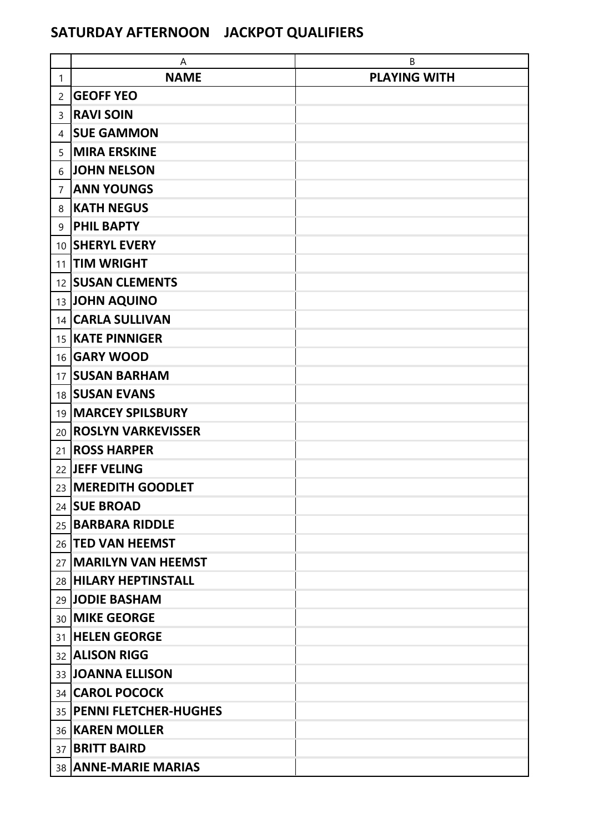## **SATURDAY AFTERNOON JACKPOT QUALIFIERS**

|                 | A                               | В                   |
|-----------------|---------------------------------|---------------------|
| 1               | <b>NAME</b>                     | <b>PLAYING WITH</b> |
| 2               | <b>GEOFF YEO</b>                |                     |
| 3               | <b>RAVI SOIN</b>                |                     |
| 4               | <b>SUE GAMMON</b>               |                     |
| 5               | <b>MIRA ERSKINE</b>             |                     |
| 6               | <b>JOHN NELSON</b>              |                     |
| $\overline{7}$  | <b>ANN YOUNGS</b>               |                     |
| 8               | <b>KATH NEGUS</b>               |                     |
| 9               | <b>PHIL BAPTY</b>               |                     |
| 10              | <b>SHERYL EVERY</b>             |                     |
| 11              | <b>TIM WRIGHT</b>               |                     |
| 12 <sup>2</sup> | <b>SUSAN CLEMENTS</b>           |                     |
|                 | 13 JOHN AQUINO                  |                     |
|                 | 14 CARLA SULLIVAN               |                     |
|                 | 15   KATE PINNIGER              |                     |
|                 | 16 <b>GARY WOOD</b>             |                     |
|                 | 17 SUSAN BARHAM                 |                     |
|                 | 18 SUSAN EVANS                  |                     |
| 19              | <b>MARCEY SPILSBURY</b>         |                     |
| 20              | <b>ROSLYN VARKEVISSER</b>       |                     |
| 21              | <b>ROSS HARPER</b>              |                     |
|                 | 22 JEFF VELING                  |                     |
|                 | 23 MEREDITH GOODLET             |                     |
|                 | 24 SUE BROAD                    |                     |
| 25              | <b>BARBARA RIDDLE</b>           |                     |
|                 | 26   TED VAN HEEMST             |                     |
|                 | 27   MARILYN VAN HEEMST         |                     |
|                 | 28 HILARY HEPTINSTALL           |                     |
|                 | 29 JODIE BASHAM                 |                     |
|                 | 30 MIKE GEORGE                  |                     |
| 31              | <b>HELEN GEORGE</b>             |                     |
|                 | 32 ALISON RIGG                  |                     |
|                 | 33 JOANNA ELLISON               |                     |
|                 | 34 CAROL POCOCK                 |                     |
|                 | 35 <b>PENNI FLETCHER-HUGHES</b> |                     |
|                 | 36 KAREN MOLLER                 |                     |
| 37              | <b>BRITT BAIRD</b>              |                     |
|                 | 38 ANNE-MARIE MARIAS            |                     |